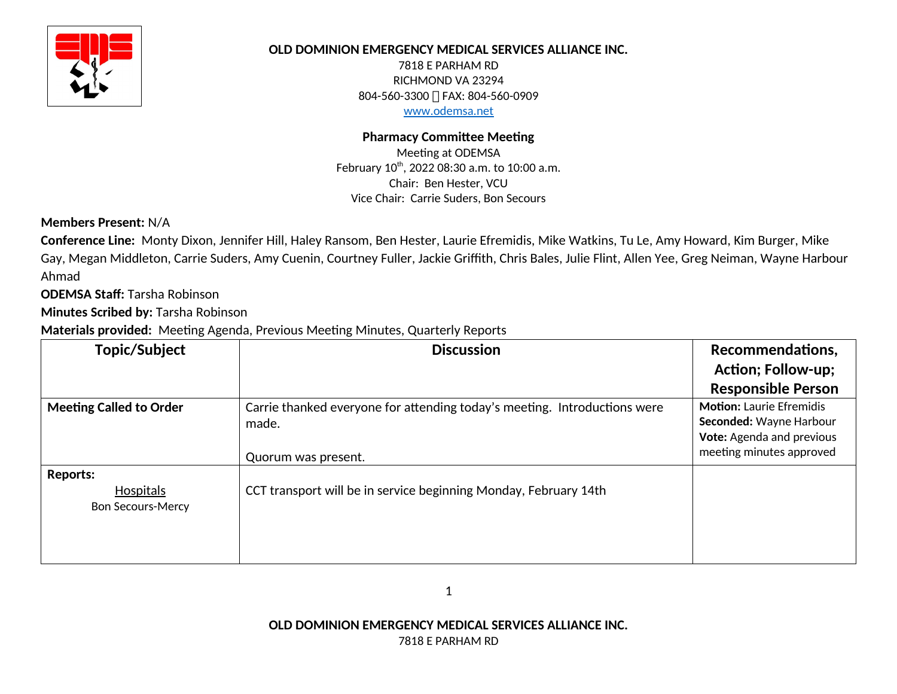

# **OLD DOMINION EMERGENCY MEDICAL SERVICES ALLIANCE INC.**

7818 E PARHAM RD RICHMOND VA 23294 804-560-3300 | FAX: 804-560-0909 www.odemsa.net

# **Pharmacy Committee Meeting**

Meeting at ODEMSA February 10<sup>th</sup>, 2022 08:30 a.m. to 10:00 a.m. Chair: Ben Hester, VCU Vice Chair: Carrie Suders, Bon Secours

**Members Present:** N/A

**Conference Line:** Monty Dixon, Jennifer Hill, Haley Ransom, Ben Hester, Laurie Efremidis, Mike Watkins, Tu Le, Amy Howard, Kim Burger, Mike Gay, Megan Middleton, Carrie Suders, Amy Cuenin, Courtney Fuller, Jackie Griffith, Chris Bales, Julie Flint, Allen Yee, Greg Neiman, Wayne Harbour Ahmad

**ODEMSA Staff:** Tarsha Robinson

**Minutes Scribed by:** Tarsha Robinson

**Materials provided:** Meeting Agenda, Previous Meeting Minutes, Quarterly Reports

| Topic/Subject                  | <b>Discussion</b>                                                         | Recommendations,                |
|--------------------------------|---------------------------------------------------------------------------|---------------------------------|
|                                |                                                                           | <b>Action</b> ; Follow-up;      |
|                                |                                                                           | <b>Responsible Person</b>       |
| <b>Meeting Called to Order</b> | Carrie thanked everyone for attending today's meeting. Introductions were | <b>Motion: Laurie Efremidis</b> |
|                                | made.                                                                     | Seconded: Wayne Harbour         |
|                                |                                                                           | Vote: Agenda and previous       |
|                                | Quorum was present.                                                       | meeting minutes approved        |
| <b>Reports:</b>                |                                                                           |                                 |
| <b>Hospitals</b>               | CCT transport will be in service beginning Monday, February 14th          |                                 |
| <b>Bon Secours-Mercy</b>       |                                                                           |                                 |
|                                |                                                                           |                                 |
|                                |                                                                           |                                 |
|                                |                                                                           |                                 |

**OLD DOMINION EMERGENCY MEDICAL SERVICES ALLIANCE INC.** 7818 E PARHAM RD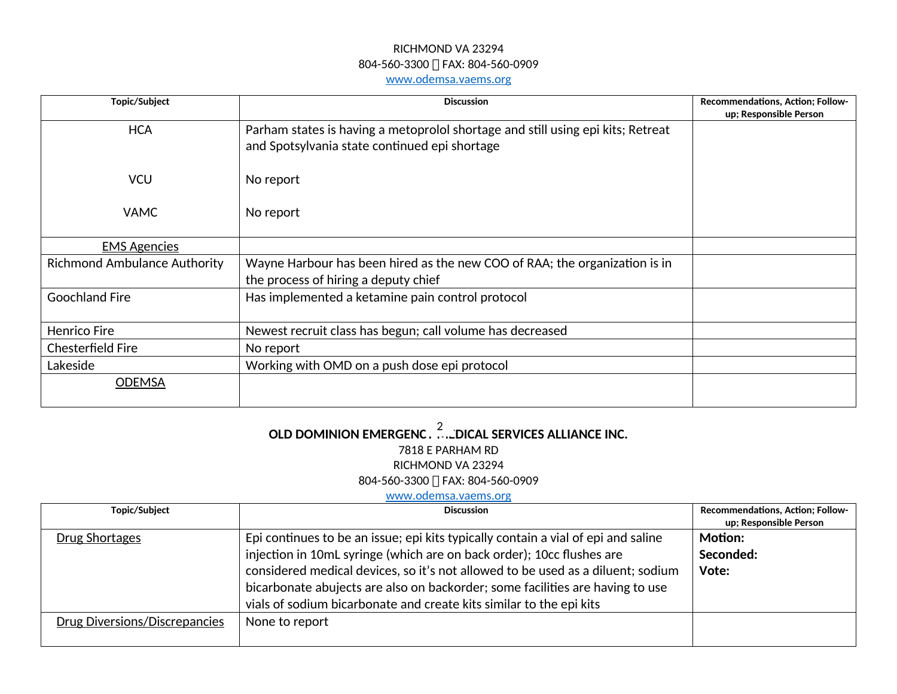#### RICHMOND VA 23294 804-560-3300 | FAX: 804-560-0909 [www.odemsa.vaems.org](http://www.odemsa.vaems.org/)

| Topic/Subject                       | <b>Discussion</b>                                                                                                                | Recommendations, Action; Follow-<br>up; Responsible Person |
|-------------------------------------|----------------------------------------------------------------------------------------------------------------------------------|------------------------------------------------------------|
| <b>HCA</b>                          | Parham states is having a metoprolol shortage and still using epi kits; Retreat<br>and Spotsylvania state continued epi shortage |                                                            |
| <b>VCU</b>                          | No report                                                                                                                        |                                                            |
| <b>VAMC</b>                         | No report                                                                                                                        |                                                            |
| <b>EMS Agencies</b>                 |                                                                                                                                  |                                                            |
| <b>Richmond Ambulance Authority</b> | Wayne Harbour has been hired as the new COO of RAA; the organization is in<br>the process of hiring a deputy chief               |                                                            |
| <b>Goochland Fire</b>               | Has implemented a ketamine pain control protocol                                                                                 |                                                            |
| <b>Henrico Fire</b>                 | Newest recruit class has begun; call volume has decreased                                                                        |                                                            |
| Chesterfield Fire                   | No report                                                                                                                        |                                                            |
| Lakeside                            | Working with OMD on a push dose epi protocol                                                                                     |                                                            |
| <b>ODEMSA</b>                       |                                                                                                                                  |                                                            |

# OLD DOMINION EMERGENC . $\overset{2}{\ldots}$  DICAL SERVICES ALLIANCE INC. 7818 E PARHAM RD RICHMOND VA 23294 804-560-3300 ∏ FAX: 804-560-0909

#### [www.odemsa.vaems.org](http://www.odemsa.vaems.org/)

| Topic/Subject                 | <b>Discussion</b>                                                                 | Recommendations, Action; Follow- |
|-------------------------------|-----------------------------------------------------------------------------------|----------------------------------|
|                               |                                                                                   | up; Responsible Person           |
| <b>Drug Shortages</b>         | Epi continues to be an issue; epi kits typically contain a vial of epi and saline | <b>Motion:</b>                   |
|                               | injection in 10mL syringe (which are on back order); 10cc flushes are             | Seconded:                        |
|                               | considered medical devices, so it's not allowed to be used as a diluent; sodium   | Vote:                            |
|                               | bicarbonate abujects are also on backorder; some facilities are having to use     |                                  |
|                               | vials of sodium bicarbonate and create kits similar to the epi kits               |                                  |
| Drug Diversions/Discrepancies | None to report                                                                    |                                  |
|                               |                                                                                   |                                  |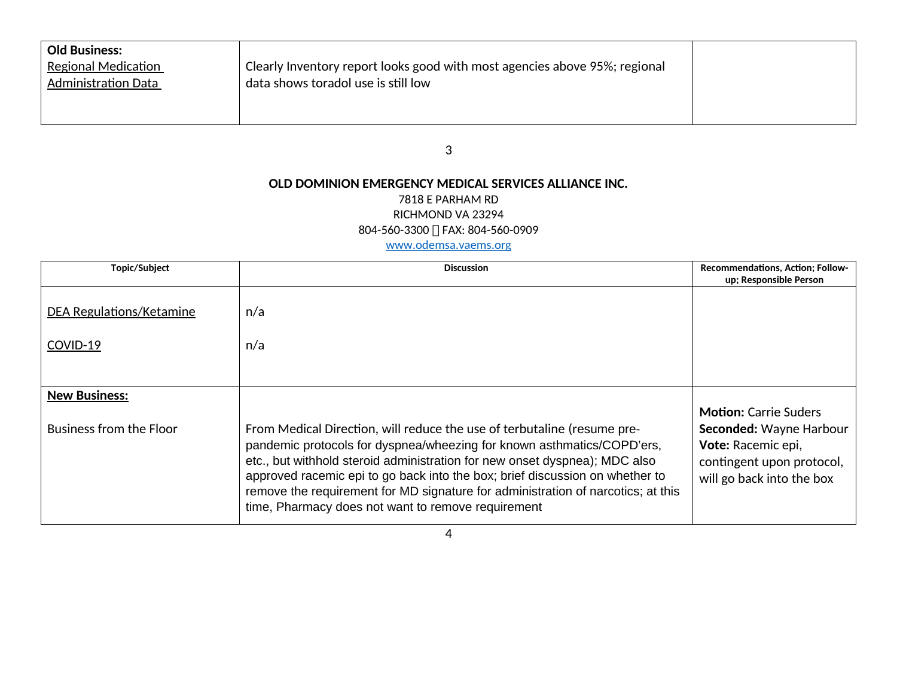| <b>Old Business:</b>       |                                                                            |  |
|----------------------------|----------------------------------------------------------------------------|--|
| <b>Regional Medication</b> | Clearly Inventory report looks good with most agencies above 95%; regional |  |
| <b>Administration Data</b> | data shows toradol use is still low                                        |  |
|                            |                                                                            |  |
|                            |                                                                            |  |

3

# **OLD DOMINION EMERGENCY MEDICAL SERVICES ALLIANCE INC.**

#### 7818 E PARHAM RD

RICHMOND VA 23294

804-560-3300 FAX: 804-560-0909

#### [www.odemsa.vaems.org](http://www.odemsa.vaems.org/)

| Topic/Subject            | <b>Discussion</b>                                                                                                                                                                                                                                                                                                                                                                                                                                         | Recommendations, Action; Follow-<br>up; Responsible Person                                                                              |
|--------------------------|-----------------------------------------------------------------------------------------------------------------------------------------------------------------------------------------------------------------------------------------------------------------------------------------------------------------------------------------------------------------------------------------------------------------------------------------------------------|-----------------------------------------------------------------------------------------------------------------------------------------|
| DEA Regulations/Ketamine | n/a                                                                                                                                                                                                                                                                                                                                                                                                                                                       |                                                                                                                                         |
| COVID-19                 | n/a                                                                                                                                                                                                                                                                                                                                                                                                                                                       |                                                                                                                                         |
|                          |                                                                                                                                                                                                                                                                                                                                                                                                                                                           |                                                                                                                                         |
| <b>New Business:</b>     |                                                                                                                                                                                                                                                                                                                                                                                                                                                           |                                                                                                                                         |
| Business from the Floor  | From Medical Direction, will reduce the use of terbutaline (resume pre-<br>pandemic protocols for dyspnea/wheezing for known asthmatics/COPD'ers,<br>etc., but withhold steroid administration for new onset dyspnea); MDC also<br>approved racemic epi to go back into the box; brief discussion on whether to<br>remove the requirement for MD signature for administration of narcotics; at this<br>time, Pharmacy does not want to remove requirement | <b>Motion:</b> Carrie Suders<br>Seconded: Wayne Harbour<br>Vote: Racemic epi,<br>contingent upon protocol,<br>will go back into the box |

4